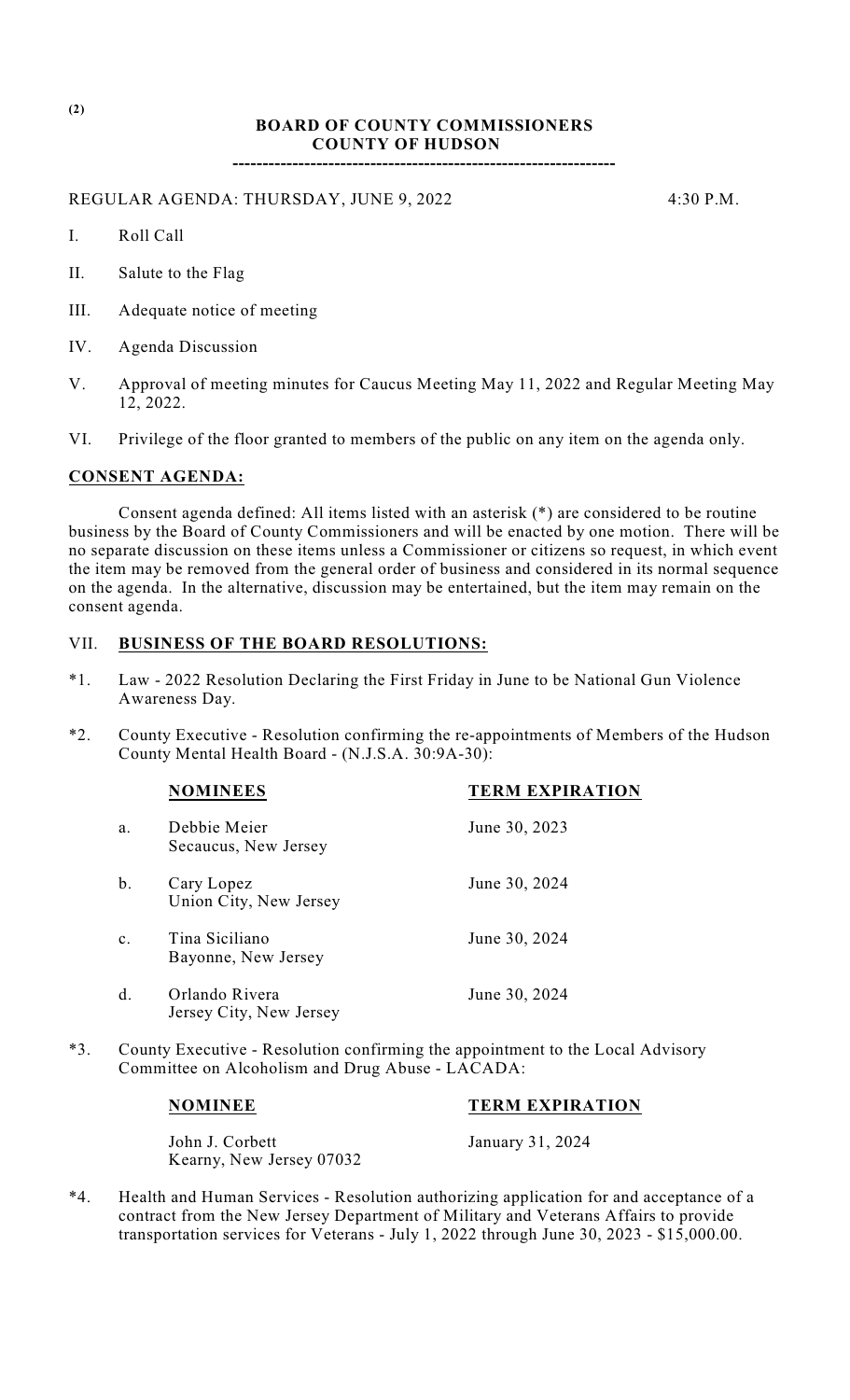## **BOARD OF COUNTY COMMISSIONERS COUNTY OF HUDSON**

**----------------------------------------------------------------**

REGULAR AGENDA: THURSDAY, JUNE 9, 2022 4:30 P.M.

- I. Roll Call
- II. Salute to the Flag
- III. Adequate notice of meeting
- IV. Agenda Discussion
- V. Approval of meeting minutes for Caucus Meeting May 11, 2022 and Regular Meeting May 12, 2022.
- VI. Privilege of the floor granted to members of the public on any item on the agenda only.

#### **CONSENT AGENDA:**

Consent agenda defined: All items listed with an asterisk (\*) are considered to be routine business by the Board of County Commissioners and will be enacted by one motion. There will be no separate discussion on these items unless a Commissioner or citizens so request, in which event the item may be removed from the general order of business and considered in its normal sequence on the agenda. In the alternative, discussion may be entertained, but the item may remain on the consent agenda.

#### VII. **BUSINESS OF THE BOARD RESOLUTIONS:**

- \*1. Law 2022 Resolution Declaring the First Friday in June to be National Gun Violence Awareness Day.
- \*2. County Executive Resolution confirming the re-appointments of Members of the Hudson County Mental Health Board - (N.J.S.A. 30:9A-30):

|                | <b>NOMINEES</b>                           | <b>TERM EXPIRATION</b> |
|----------------|-------------------------------------------|------------------------|
| a.             | Debbie Meier<br>Secaucus, New Jersey      | June 30, 2023          |
| $b$ .          | Cary Lopez<br>Union City, New Jersey      | June 30, 2024          |
| $\mathbf{c}$ . | Tina Siciliano<br>Bayonne, New Jersey     | June 30, 2024          |
| d.             | Orlando Rivera<br>Jersey City, New Jersey | June 30, 2024          |

\*3. County Executive - Resolution confirming the appointment to the Local Advisory Committee on Alcoholism and Drug Abuse - LACADA:

# **NOMINEE TERM EXPIRATION**

John J. Corbett January 31, 2024 Kearny, New Jersey 07032

\*4. Health and Human Services - Resolution authorizing application for and acceptance of a contract from the New Jersey Department of Military and Veterans Affairs to provide transportation services for Veterans - July 1, 2022 through June 30, 2023 - \$15,000.00.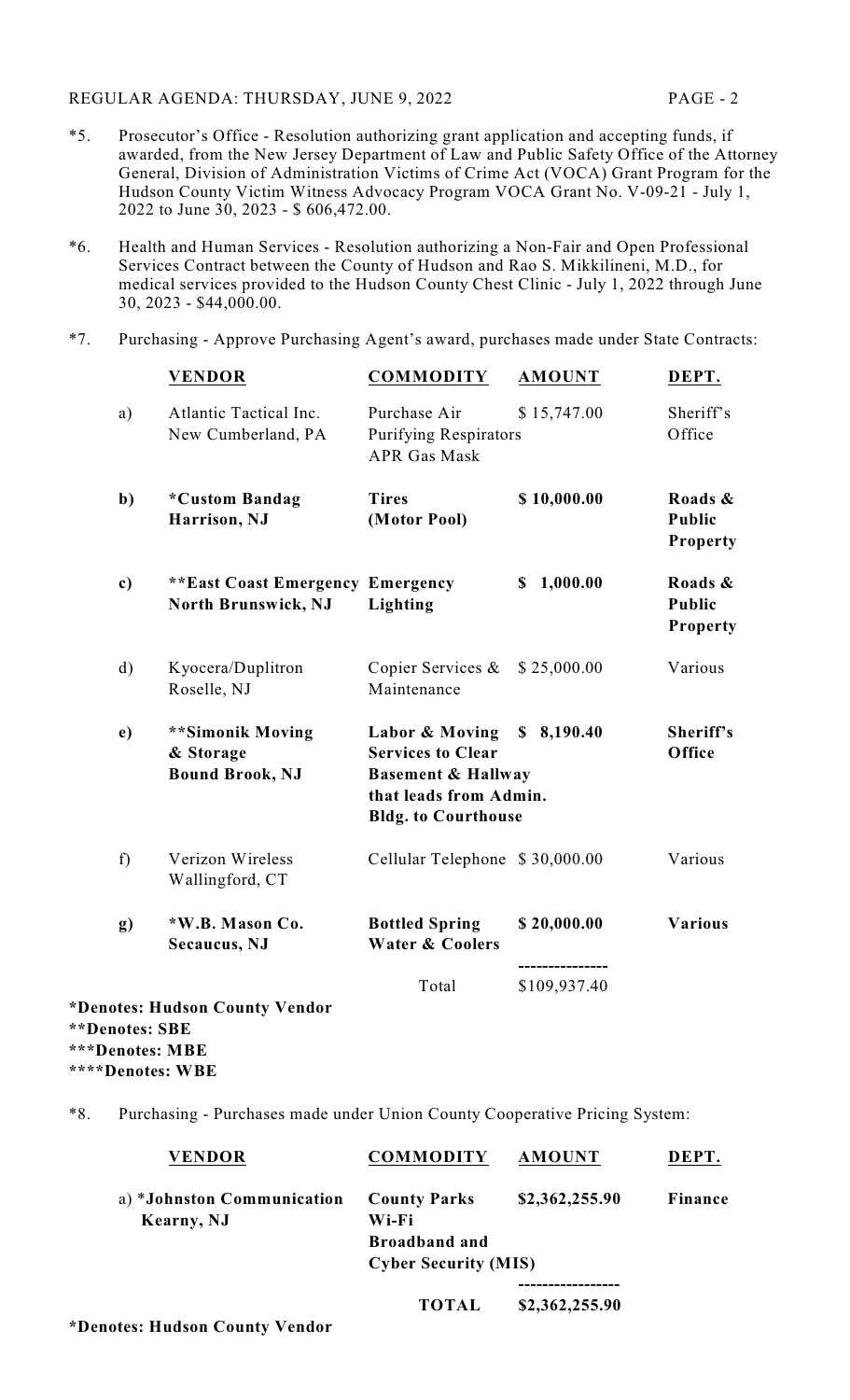## REGULAR AGENDA: THURSDAY, JUNE 9, 2022 PAGE - 2

- \*5. Prosecutor's Office Resolution authorizing grant application and accepting funds, if awarded, from the New Jersey Department of Law and Public Safety Office of the Attorney General, Division of Administration Victims of Crime Act (VOCA) Grant Program for the Hudson County Victim Witness Advocacy Program VOCA Grant No. V-09-21 - July 1, 2022 to June 30, 2023 - \$ 606,472.00.
- \*6. Health and Human Services Resolution authorizing a Non-Fair and Open Professional Services Contract between the County of Hudson and Rao S. Mikkilineni, M.D., for medical services provided to the Hudson County Chest Clinic - July 1, 2022 through June 30, 2023 - \$44,000.00.
- \*7. Purchasing Approve Purchasing Agent's award, purchases made under State Contracts:

|                | <b>VENDOR</b>                                                  | <b>COMMODITY</b>                                                                                                                    | <b>AMOUNT</b>  | DEPT.                                       |
|----------------|----------------------------------------------------------------|-------------------------------------------------------------------------------------------------------------------------------------|----------------|---------------------------------------------|
| a)             | Atlantic Tactical Inc.<br>New Cumberland, PA                   | Purchase Air<br><b>Purifying Respirators</b><br><b>APR Gas Mask</b>                                                                 | \$15,747.00    | Sheriff's<br>Office                         |
| $\mathbf{b}$   | *Custom Bandag<br>Harrison, NJ                                 | <b>Tires</b><br>(Motor Pool)                                                                                                        | \$10,000.00    | Roads &<br><b>Public</b><br><b>Property</b> |
| c)             | <b>**East Coast Emergency Emergency</b><br>North Brunswick, NJ | Lighting                                                                                                                            | 1,000.00<br>S. | Roads &<br>Public<br>Property               |
| $\mathbf{d}$   | Kyocera/Duplitron<br>Roselle, NJ                               | Copier Services $\&$<br>Maintenance                                                                                                 | \$25,000.00    | Various                                     |
| e)             | **Simonik Moving<br>& Storage<br><b>Bound Brook, NJ</b>        | Labor & Moving<br><b>Services to Clear</b><br><b>Basement &amp; Hallway</b><br>that leads from Admin.<br><b>Bldg.</b> to Courthouse | \$8,190.40     | Sheriff's<br>Office                         |
| f              | Verizon Wireless<br>Wallingford, CT                            | Cellular Telephone \$30,000.00                                                                                                      |                | Various                                     |
| g)             | *W.B. Mason Co.<br>Secaucus, NJ                                | <b>Bottled Spring</b><br><b>Water &amp; Coolers</b>                                                                                 | \$20,000.00    | <b>Various</b>                              |
| **Denotes: SBE | *Denotes: Hudson County Vendor                                 | Total                                                                                                                               | \$109,937.40   |                                             |

**\*\*\*Denotes: MBE**

**\*\*\*\*Denotes: WBE**

\*8. Purchasing - Purchases made under Union County Cooperative Pricing System:

| <b>VENDOR</b>                            | <b>COMMODITY</b>             | <b>AMOUNT</b>  | DEPT.          |
|------------------------------------------|------------------------------|----------------|----------------|
| a) *Johnston Communication<br>Kearny, NJ | <b>County Parks</b><br>Wi-Fi | \$2,362,255.90 | <b>Finance</b> |
|                                          | <b>Broadband and</b>         |                |                |
|                                          | <b>Cyber Security (MIS)</b>  |                |                |
|                                          |                              |                |                |
|                                          | <b>TOTAL</b>                 | \$2,362,255.90 |                |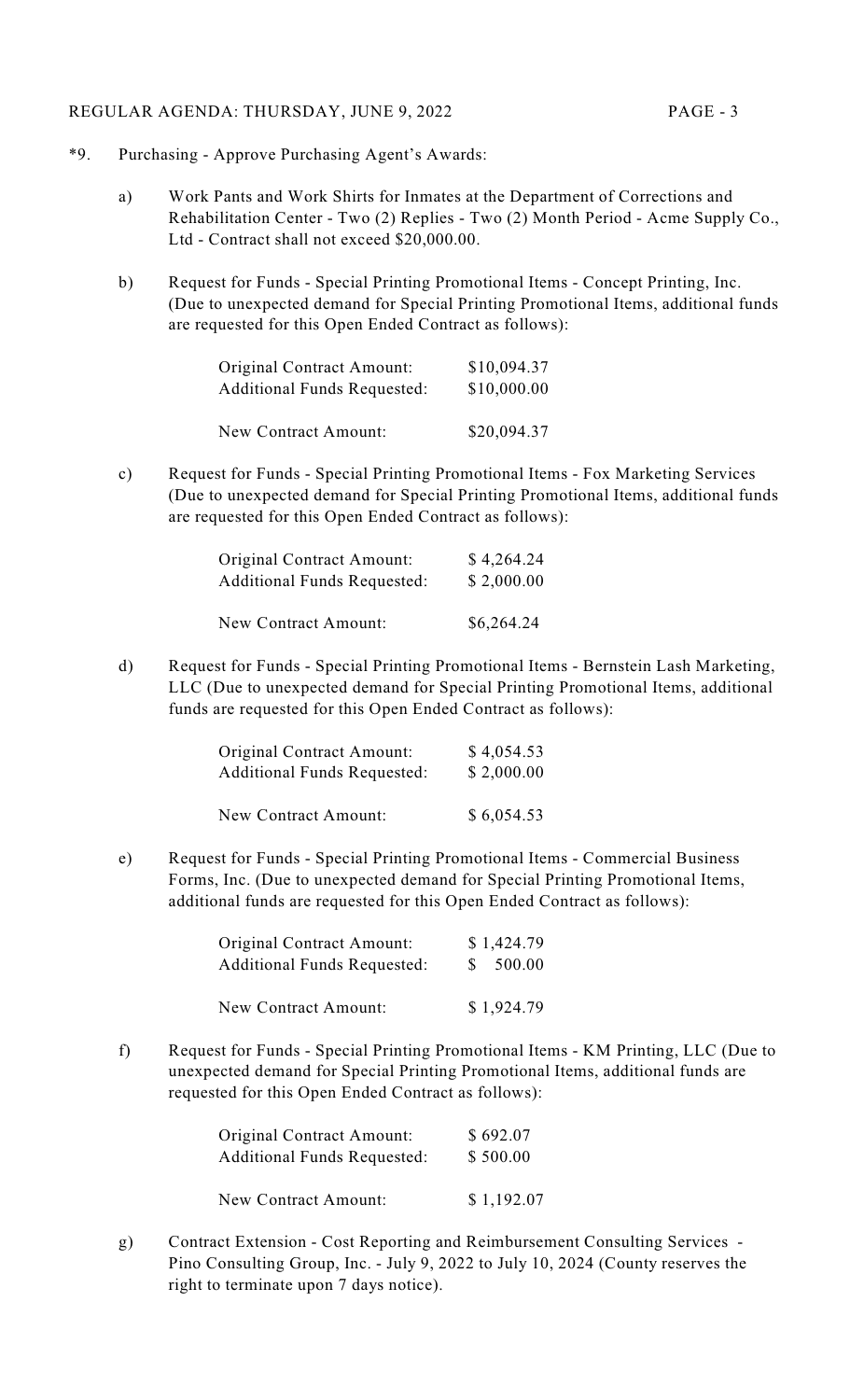## REGULAR AGENDA: THURSDAY, JUNE 9, 2022 PAGE - 3

- \*9. Purchasing Approve Purchasing Agent's Awards:
	- a) Work Pants and Work Shirts for Inmates at the Department of Corrections and Rehabilitation Center - Two (2) Replies - Two (2) Month Period - Acme Supply Co., Ltd - Contract shall not exceed \$20,000.00.
	- b) Request for Funds Special Printing Promotional Items Concept Printing, Inc. (Due to unexpected demand for Special Printing Promotional Items, additional funds are requested for this Open Ended Contract as follows):

| Original Contract Amount:          | \$10,094.37 |
|------------------------------------|-------------|
| <b>Additional Funds Requested:</b> | \$10,000.00 |
| New Contract Amount:               | \$20,094.37 |

c) Request for Funds - Special Printing Promotional Items - Fox Marketing Services (Due to unexpected demand for Special Printing Promotional Items, additional funds are requested for this Open Ended Contract as follows):

| <b>Original Contract Amount:</b>   | \$4,264.24 |
|------------------------------------|------------|
| <b>Additional Funds Requested:</b> | \$2,000.00 |
| <b>New Contract Amount:</b>        | \$6,264.24 |

d) Request for Funds - Special Printing Promotional Items - Bernstein Lash Marketing, LLC (Due to unexpected demand for Special Printing Promotional Items, additional funds are requested for this Open Ended Contract as follows):

| Original Contract Amount:          | \$4,054.53 |
|------------------------------------|------------|
| <b>Additional Funds Requested:</b> | \$2,000.00 |
| New Contract Amount:               | \$6,054.53 |

e) Request for Funds - Special Printing Promotional Items - Commercial Business Forms, Inc. (Due to unexpected demand for Special Printing Promotional Items, additional funds are requested for this Open Ended Contract as follows):

| Original Contract Amount:          | \$1,424.79 |
|------------------------------------|------------|
| <b>Additional Funds Requested:</b> | \$500.00   |
| New Contract Amount:               | \$1,924.79 |

f) Request for Funds - Special Printing Promotional Items - KM Printing, LLC (Due to unexpected demand for Special Printing Promotional Items, additional funds are requested for this Open Ended Contract as follows):

| Original Contract Amount:          | \$692.07   |
|------------------------------------|------------|
| <b>Additional Funds Requested:</b> | \$500.00   |
| New Contract Amount:               | \$1,192.07 |

g) Contract Extension - Cost Reporting and Reimbursement Consulting Services - Pino Consulting Group, Inc. - July 9, 2022 to July 10, 2024 (County reserves the right to terminate upon 7 days notice).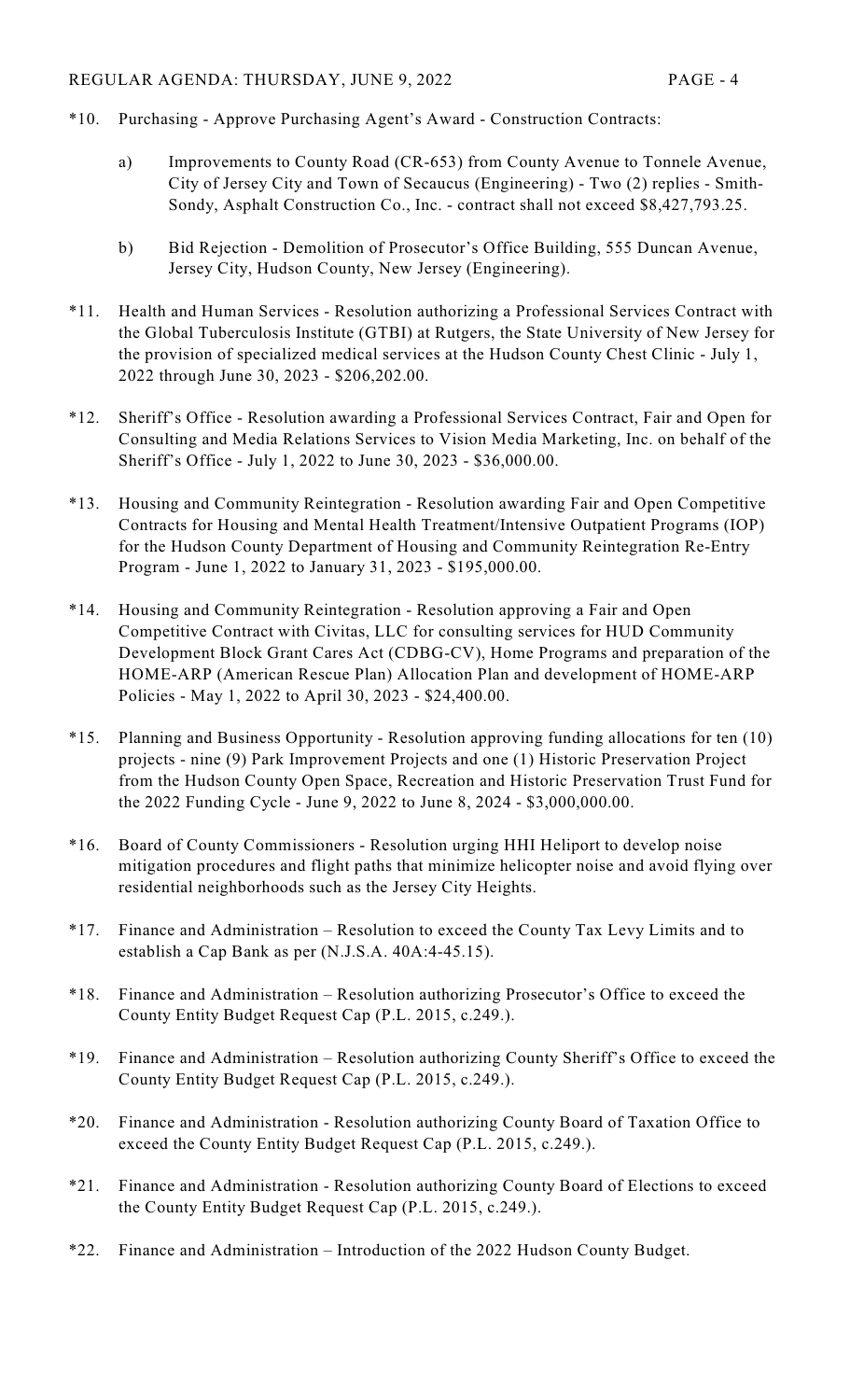- \*10. Purchasing Approve Purchasing Agent's Award Construction Contracts:
	- a) Improvements to County Road (CR-653) from County Avenue to Tonnele Avenue, City of Jersey City and Town of Secaucus (Engineering) - Two (2) replies - Smith-Sondy, Asphalt Construction Co., Inc. - contract shall not exceed \$8,427,793.25.
	- b) Bid Rejection Demolition of Prosecutor's Office Building, 555 Duncan Avenue, Jersey City, Hudson County, New Jersey (Engineering).
- \*11. Health and Human Services Resolution authorizing a Professional Services Contract with the Global Tuberculosis Institute (GTBI) at Rutgers, the State University of New Jersey for the provision of specialized medical services at the Hudson County Chest Clinic - July 1, 2022 through June 30, 2023 - \$206,202.00.
- \*12. Sheriff's Office Resolution awarding a Professional Services Contract, Fair and Open for Consulting and Media Relations Services to Vision Media Marketing, Inc. on behalf of the Sheriff's Office - July 1, 2022 to June 30, 2023 - \$36,000.00.
- \*13. Housing and Community Reintegration Resolution awarding Fair and Open Competitive Contracts for Housing and Mental Health Treatment/Intensive Outpatient Programs (IOP) for the Hudson County Department of Housing and Community Reintegration Re-Entry Program - June 1, 2022 to January 31, 2023 - \$195,000.00.
- \*14. Housing and Community Reintegration Resolution approving a Fair and Open Competitive Contract with Civitas, LLC for consulting services for HUD Community Development Block Grant Cares Act (CDBG-CV), Home Programs and preparation of the HOME-ARP (American Rescue Plan) Allocation Plan and development of HOME-ARP Policies - May 1, 2022 to April 30, 2023 - \$24,400.00.
- \*15. Planning and Business Opportunity Resolution approving funding allocations for ten (10) projects - nine (9) Park Improvement Projects and one (1) Historic Preservation Project from the Hudson County Open Space, Recreation and Historic Preservation Trust Fund for the 2022 Funding Cycle - June 9, 2022 to June 8, 2024 - \$3,000,000.00.
- \*16. Board of County Commissioners Resolution urging HHI Heliport to develop noise mitigation procedures and flight paths that minimize helicopter noise and avoid flying over residential neighborhoods such as the Jersey City Heights.
- \*17. Finance and Administration Resolution to exceed the County Tax Levy Limits and to establish a Cap Bank as per (N.J.S.A. 40A:4-45.15).
- \*18. Finance and Administration Resolution authorizing Prosecutor's Office to exceed the County Entity Budget Request Cap (P.L. 2015, c.249.).
- \*19. Finance and Administration Resolution authorizing County Sheriff's Office to exceed the County Entity Budget Request Cap (P.L. 2015, c.249.).
- \*20. Finance and Administration Resolution authorizing County Board of Taxation Office to exceed the County Entity Budget Request Cap (P.L. 2015, c.249.).
- \*21. Finance and Administration Resolution authorizing County Board of Elections to exceed the County Entity Budget Request Cap (P.L. 2015, c.249.).
- \*22. Finance and Administration Introduction of the 2022 Hudson County Budget.